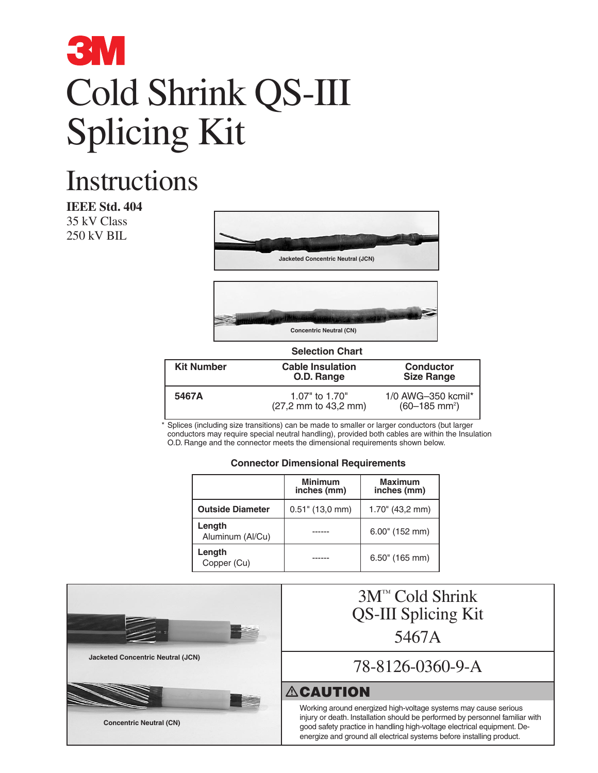### **3M** Cold Shrink QS-III Splicing Kit

### **Instructions**

**IEEE Std. 404** 35 kV Class 250 kV BIL





| <b>Selection Chart</b> |                                        |                                                   |  |  |  |  |
|------------------------|----------------------------------------|---------------------------------------------------|--|--|--|--|
| <b>Kit Number</b>      | <b>Cable Insulation</b><br>O.D. Range  | <b>Conductor</b><br><b>Size Range</b>             |  |  |  |  |
| 5467A                  | 1.07" to 1.70"<br>(27,2 mm to 43,2 mm) | 1/0 AWG-350 kcmil*<br>$(60-185$ mm <sup>2</sup> ) |  |  |  |  |

\* Splices (including size transitions) can be made to smaller or larger conductors (but larger conductors may require special neutral handling), provided both cables are within the Insulation O.D. Range and the connector meets the dimensional requirements shown below.

#### **Connector Dimensional Requirements**

|                            | <b>Minimum</b><br>inches (mm) | <b>Maximum</b><br>inches (mm) |  |  |
|----------------------------|-------------------------------|-------------------------------|--|--|
| <b>Outside Diameter</b>    | $0.51$ " (13,0 mm)            | $1.70$ " (43,2 mm)            |  |  |
| Length<br>Aluminum (Al/Cu) |                               | $6.00$ " (152 mm)             |  |  |
| Length<br>Copper (Cu)      |                               | $6.50$ " (165 mm)             |  |  |

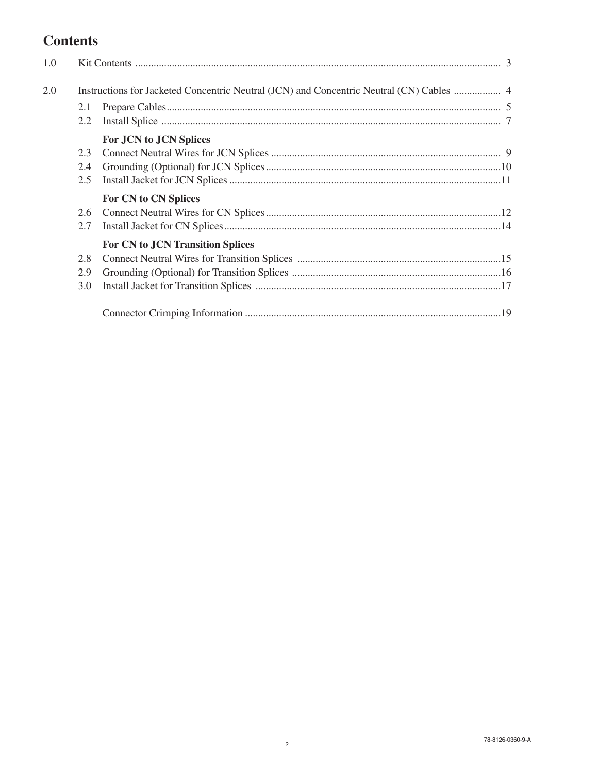#### **Contents**

| 1.0 |     |                                         |  |  |  |  |  |
|-----|-----|-----------------------------------------|--|--|--|--|--|
| 2.0 |     |                                         |  |  |  |  |  |
|     | 2.1 |                                         |  |  |  |  |  |
|     | 2.2 |                                         |  |  |  |  |  |
|     |     | For JCN to JCN Splices                  |  |  |  |  |  |
|     | 2.3 |                                         |  |  |  |  |  |
|     | 2.4 |                                         |  |  |  |  |  |
|     | 2.5 |                                         |  |  |  |  |  |
|     |     | For CN to CN Splices                    |  |  |  |  |  |
|     | 2.6 |                                         |  |  |  |  |  |
|     | 2.7 |                                         |  |  |  |  |  |
|     |     | <b>For CN to JCN Transition Splices</b> |  |  |  |  |  |
|     | 2.8 |                                         |  |  |  |  |  |
|     | 2.9 |                                         |  |  |  |  |  |
|     | 3.0 |                                         |  |  |  |  |  |
|     |     |                                         |  |  |  |  |  |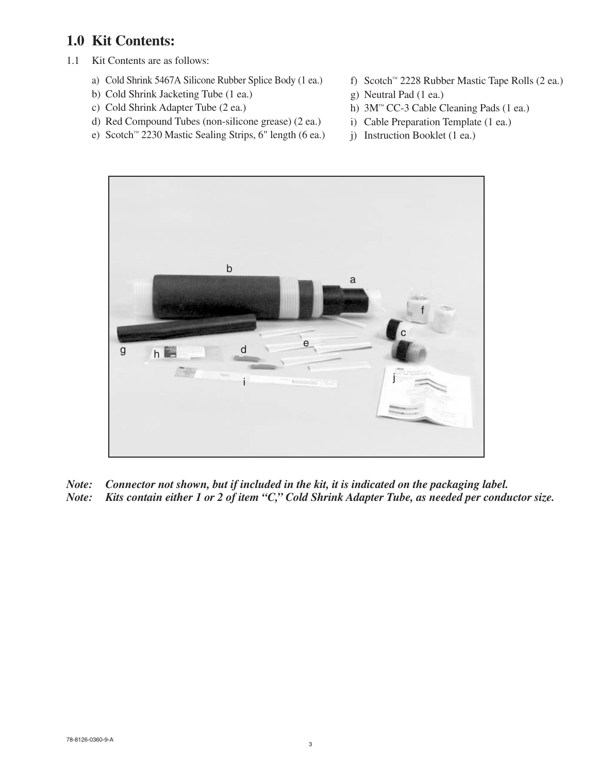#### **1.0 Kit Contents:**

- 1.1 Kit Contents are as follows:
	- a) Cold Shrink 5467A Silicone Rubber Splice Body (1 ea.)
	- b) Cold Shrink Jacketing Tube (1 ea.)
	- c) Cold Shrink Adapter Tube (2 ea.)
	- d) Red Compound Tubes (non-silicone grease) (2 ea.)
	- e) Scotch™ 2230 Mastic Sealing Strips, 6" length (6 ea.)
- f) Scotch™ 2228 Rubber Mastic Tape Rolls (2 ea.)
- g) Neutral Pad (1 ea.)
- h) 3M™ CC-3 Cable Cleaning Pads (1 ea.)
- i) Cable Preparation Template (1 ea.)
- j) Instruction Booklet (1 ea.)



*Note: Connector not shown, but if included in the kit, it is indicated on the packaging label. Note: Kits contain either 1 or 2 of item "C," Cold Shrink Adapter Tube, as needed per conductor size.*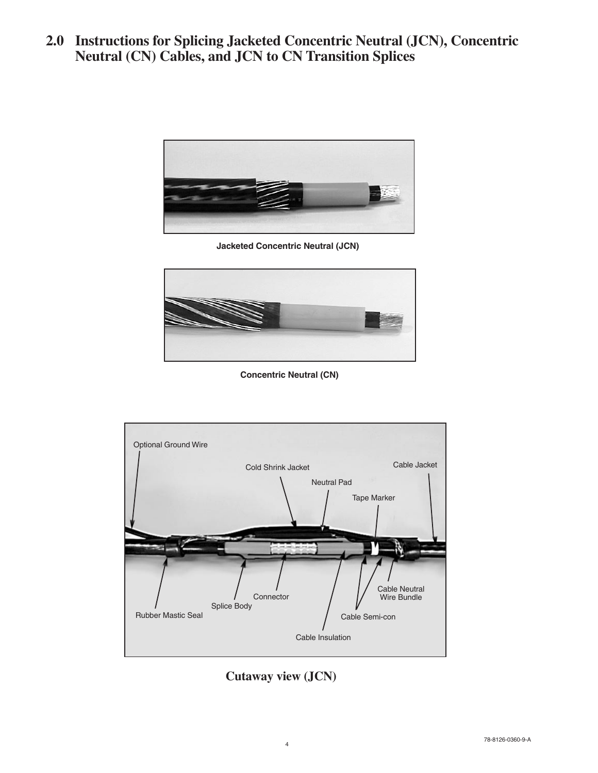**2.0 Instructions for Splicing Jacketed Concentric Neutral (JCN), Concentric Neutral (CN) Cables, and JCN to CN Transition Splices**



**Jacketed Concentric Neutral (JCN)**



**Concentric Neutral (CN)**



**Cutaway view (JCN)**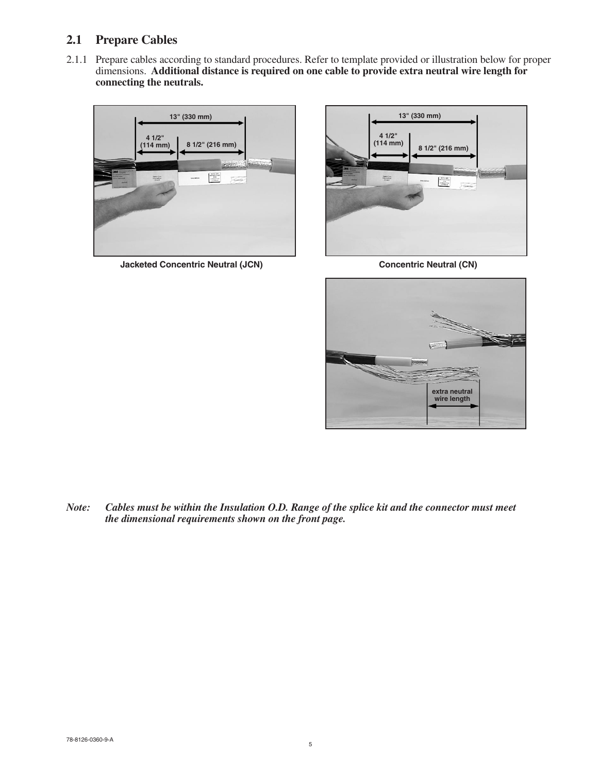#### **2.1 Prepare Cables**

2.1.1 Prepare cables according to standard procedures. Refer to template provided or illustration below for proper dimensions. **Additional distance is required on one cable to provide extra neutral wire length for connecting the neutrals.**



**Jacketed Concentric Neutral (JCN)** Concentric Neutral (CN)





*Note: Cables must be within the Insulation O.D. Range of the splice kit and the connector must meet the dimensional requirements shown on the front page.*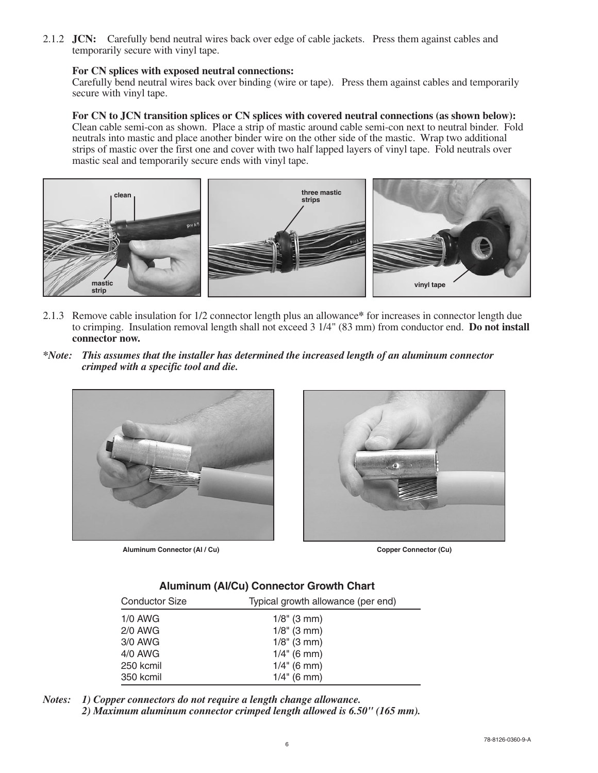2.1.2 **JCN:** Carefully bend neutral wires back over edge of cable jackets. Press them against cables and temporarily secure with vinyl tape.

#### **For CN splices with exposed neutral connections:**

Carefully bend neutral wires back over binding (wire or tape). Press them against cables and temporarily secure with vinyl tape.

#### **For CN to JCN transition splices or CN splices with covered neutral connections (as shown below):**

Clean cable semi-con as shown. Place a strip of mastic around cable semi-con next to neutral binder. Fold neutrals into mastic and place another binder wire on the other side of the mastic. Wrap two additional strips of mastic over the first one and cover with two half lapped layers of vinyl tape. Fold neutrals over mastic seal and temporarily secure ends with vinyl tape.



- 2.1.3 Remove cable insulation for 1/2 connector length plus an allowance**\*** for increases in connector length due to crimping. Insulation removal length shall not exceed 3 1/4" (83 mm) from conductor end. **Do not install connector now.**
- *\*Note: This assumes that the installer has determined the increased length of an aluminum connector crimped with a specific tool and die.*



**Aluminum Connector (Al / Cu) Copper Connector (Cu)**



#### **Aluminum (Al/Cu) Connector Growth Chart**

| <b>Conductor Size</b> | Typical growth allowance (per end) |  |  |  |  |  |
|-----------------------|------------------------------------|--|--|--|--|--|
| $1/0$ AWG             | $1/8$ " (3 mm)                     |  |  |  |  |  |
| $2/0$ AWG             | $1/8$ " (3 mm)                     |  |  |  |  |  |
| $3/0$ AWG             | $1/8$ " (3 mm)                     |  |  |  |  |  |
| 4/0 AWG               | $1/4$ " (6 mm)                     |  |  |  |  |  |
| 250 kcmil             | $1/4$ " (6 mm)                     |  |  |  |  |  |
| 350 kcmil             | $1/4$ " (6 mm)                     |  |  |  |  |  |

*Notes: 1) Copper connectors do not require a length change allowance. 2) Maximum aluminum connector crimped length allowed is 6.50" (165 mm).*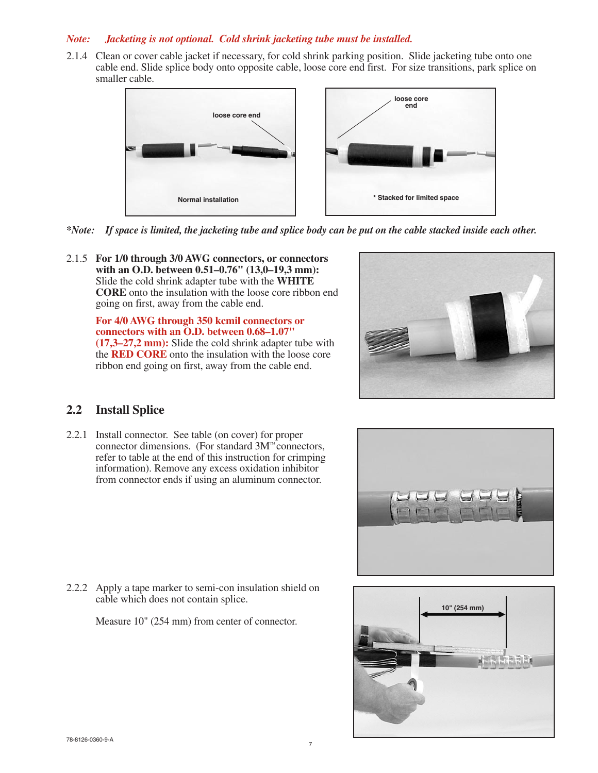#### *Note: Jacketing is not optional. Cold shrink jacketing tube must be installed.*

2.1.4 Clean or cover cable jacket if necessary, for cold shrink parking position. Slide jacketing tube onto one cable end. Slide splice body onto opposite cable, loose core end first. For size transitions, park splice on smaller cable.



*\*Note: If space is limited, the jacketing tube and splice body can be put on the cable stacked inside each other.*

2.1.5 **For 1/0 through 3/0 AWG connectors, or connectors with an O.D. between 0.51–0.76" (13,0–19,3 mm):** Slide the cold shrink adapter tube with the **WHITE CORE** onto the insulation with the loose core ribbon end going on first, away from the cable end.

> **For 4/0 AWG through 350 kcmil connectors or connectors with an O.D. between 0.68–1.07" (17,3–27,2 mm):** Slide the cold shrink adapter tube with the **RED CORE** onto the insulation with the loose core ribbon end going on first, away from the cable end.



#### **2.2 Install Splice**

2.2.1 Install connector. See table (on cover) for proper connector dimensions. (For standard 3M™ connectors, refer to table at the end of this instruction for crimping information). Remove any excess oxidation inhibitor from connector ends if using an aluminum connector.



2.2.2 Apply a tape marker to semi-con insulation shield on cable which does not contain splice.

Measure 10" (254 mm) from center of connector.

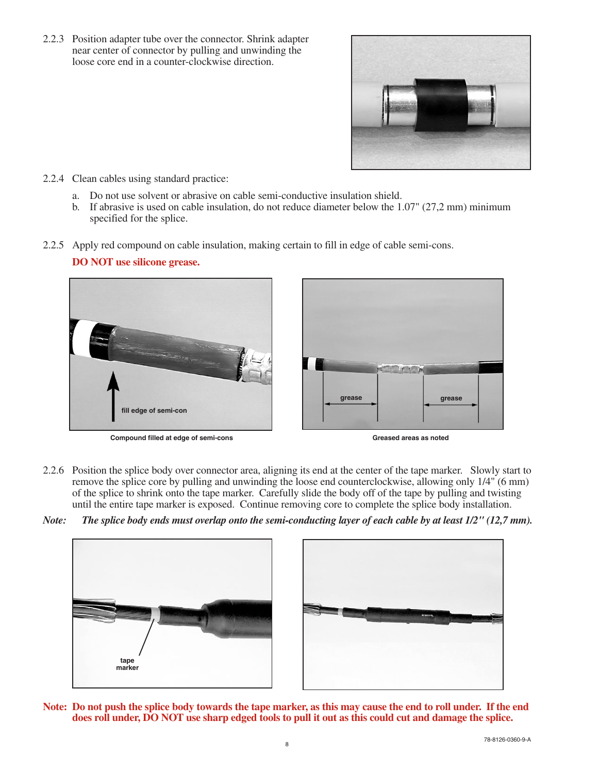2.2.3 Position adapter tube over the connector. Shrink adapter near center of connector by pulling and unwinding the loose core end in a counter-clockwise direction.



- 2.2.4 Clean cables using standard practice:
	- a. Do not use solvent or abrasive on cable semi-conductive insulation shield.
	- b. If abrasive is used on cable insulation, do not reduce diameter below the  $1.07$ " ( $27.2$  mm) minimum specified for the splice.
- 2.2.5 Apply red compound on cable insulation, making certain to fill in edge of cable semi-cons.



**Compound filled at edge of semi-cons Greased areas as noted Greased areas as noted** 

- 2.2.6 Position the splice body over connector area, aligning its end at the center of the tape marker. Slowly start to remove the splice core by pulling and unwinding the loose end counterclockwise, allowing only 1/4" (6 mm) of the splice to shrink onto the tape marker. Carefully slide the body off of the tape by pulling and twisting until the entire tape marker is exposed. Continue removing core to complete the splice body installation.
- *Note: The splice body ends must overlap onto the semi-conducting layer of each cable by at least 1/2" (12,7 mm).*





**Note: Do not push the splice body towards the tape marker, as this may cause the end to roll under. If the end does roll under, DO NOT use sharp edged tools to pull it out as this could cut and damage the splice.**

**DO NOT use silicone grease.**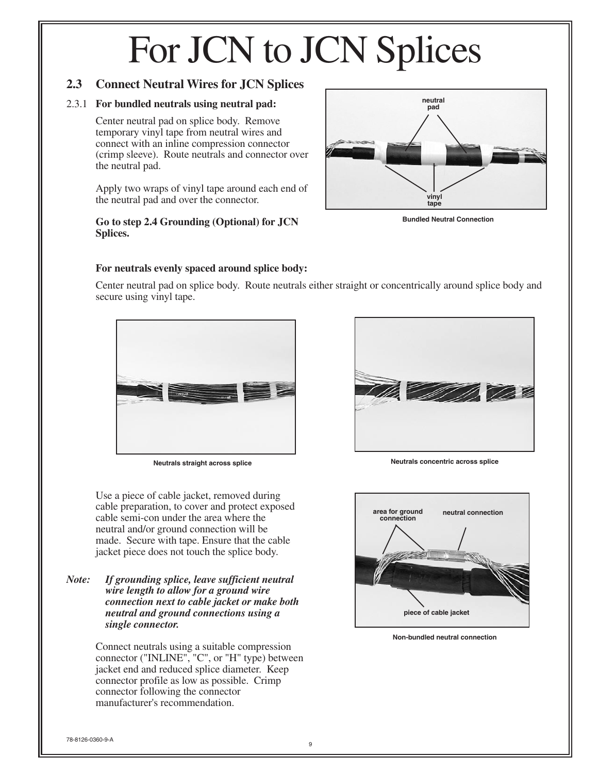#### **2.3 Connect Neutral Wires for JCN Splices**

#### 2.3.1 **For bundled neutrals using neutral pad:**

Center neutral pad on splice body. Remove temporary vinyl tape from neutral wires and connect with an inline compression connector (crimp sleeve). Route neutrals and connector over the neutral pad.

Apply two wraps of vinyl tape around each end of the neutral pad and over the connector.

#### **Go to step 2.4 Grounding (Optional) for JCN Splices.**



**Bundled Neutral Connection**

#### **For neutrals evenly spaced around splice body:**

Center neutral pad on splice body. Route neutrals either straight or concentrically around splice body and secure using vinyl tape.



Use a piece of cable jacket, removed during cable preparation, to cover and protect exposed cable semi-con under the area where the neutral and/or ground connection will be made. Secure with tape. Ensure that the cable jacket piece does not touch the splice body.

*Note: If grounding splice, leave sufficient neutral wire length to allow for a ground wire connection next to cable jacket or make both neutral and ground connections using a single connector.*

> Connect neutrals using a suitable compression connector ("INLINE", "C", or "H" type) between jacket end and reduced splice diameter. Keep connector profile as low as possible. Crimp connector following the connector manufacturer's recommendation.



**Neutrals straight across splice Neutrals concentric across splice**



**Non-bundled neutral connection**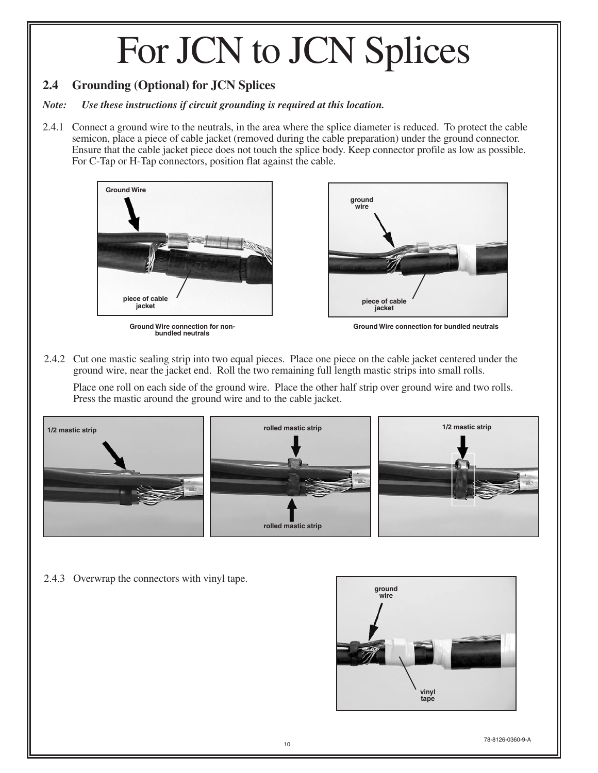#### **2.4 Grounding (Optional) for JCN Splices**

#### *Note: Use these instructions if circuit grounding is required at this location.*

2.4.1 Connect a ground wire to the neutrals, in the area where the splice diameter is reduced. To protect the cable semicon, place a piece of cable jacket (removed during the cable preparation) under the ground connector. Ensure that the cable jacket piece does not touch the splice body. Keep connector profile as low as possible. For C-Tap or H-Tap connectors, position flat against the cable.



**bundled neutrals**



**Ground Wire connection for non- Ground Wire connection for bundled neutrals**

2.4.2 Cut one mastic sealing strip into two equal pieces. Place one piece on the cable jacket centered under the ground wire, near the jacket end. Roll the two remaining full length mastic strips into small rolls.

Place one roll on each side of the ground wire. Place the other half strip over ground wire and two rolls. Press the mastic around the ground wire and to the cable jacket.



2.4.3 Overwrap the connectors with vinyl tape.

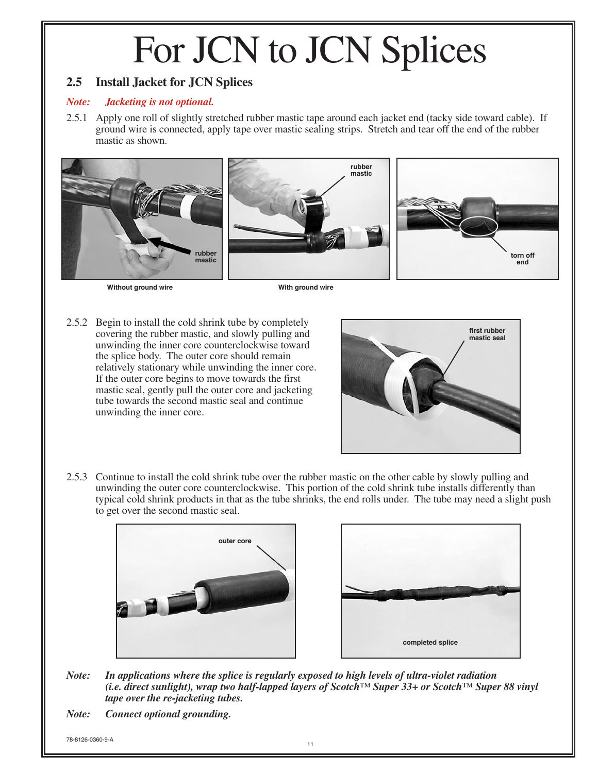#### **2.5 Install Jacket for JCN Splices**

#### *Note: Jacketing is not optional.*

2.5.1 Apply one roll of slightly stretched rubber mastic tape around each jacket end (tacky side toward cable). If ground wire is connected, apply tape over mastic sealing strips. Stretch and tear off the end of the rubber mastic as shown.



**Without ground wire**

**With ground wire**

2.5.2 Begin to install the cold shrink tube by completely covering the rubber mastic, and slowly pulling and unwinding the inner core counterclockwise toward the splice body. The outer core should remain relatively stationary while unwinding the inner core. If the outer core begins to move towards the first mastic seal, gently pull the outer core and jacketing tube towards the second mastic seal and continue unwinding the inner core.



2.5.3 Continue to install the cold shrink tube over the rubber mastic on the other cable by slowly pulling and unwinding the outer core counterclockwise. This portion of the cold shrink tube installs differently than typical cold shrink products in that as the tube shrinks, the end rolls under. The tube may need a slight push to get over the second mastic seal.





*Note: In applications where the splice is regularly exposed to high levels of ultra-violet radiation (i.e. direct sunlight), wrap two half-lapped layers of Scotch™ Super 33+ or Scotch™ Super 88 vinyl tape over the re-jacketing tubes.*

*Note: Connect optional grounding.*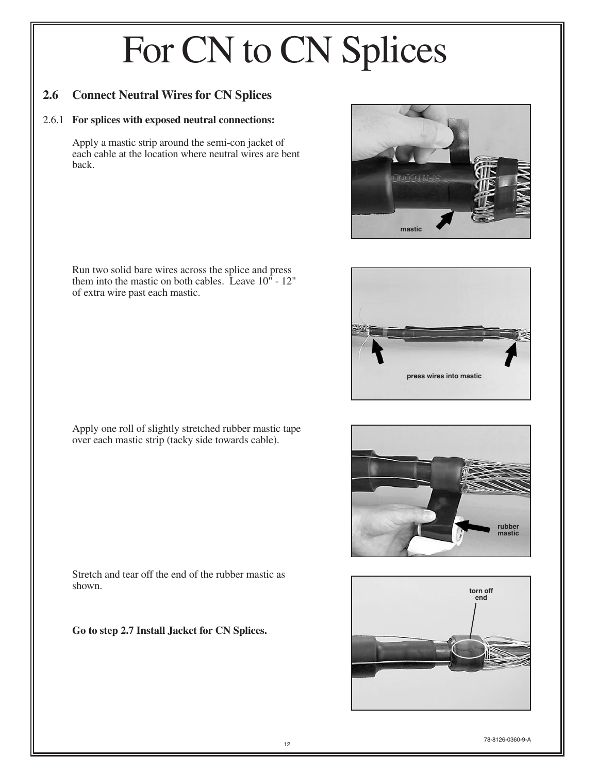#### **2.6 Connect Neutral Wires for CN Splices**

#### 2.6.1 **For splices with exposed neutral connections:**

Apply a mastic strip around the semi-con jacket of each cable at the location where neutral wires are bent back.

Run two solid bare wires across the splice and press them into the mastic on both cables. Leave 10" - 12" of extra wire past each mastic.



Apply one roll of slightly stretched rubber mastic tape over each mastic strip (tacky side towards cable).



**press wires into mastic**



Stretch and tear off the end of the rubber mastic as shown.

**Go to step 2.7 Install Jacket for CN Splices.**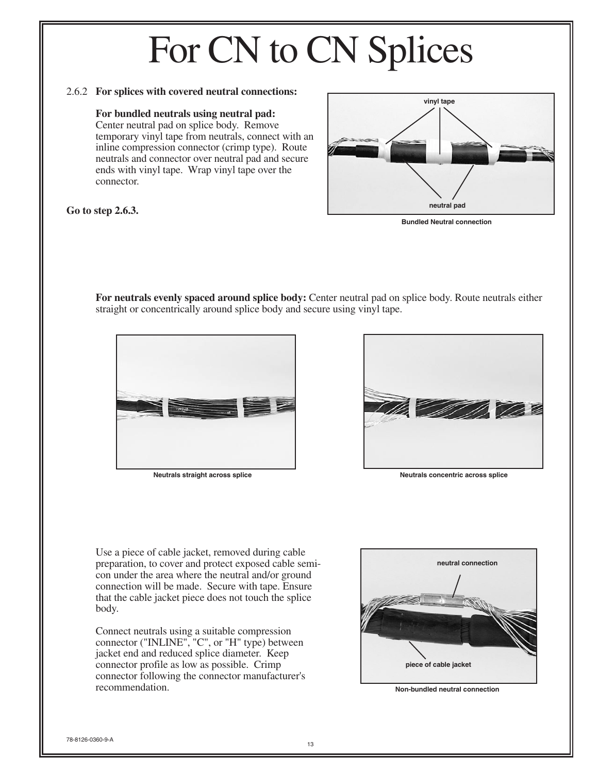#### 2.6.2 **For splices with covered neutral connections:**

#### **For bundled neutrals using neutral pad:**

Center neutral pad on splice body. Remove temporary vinyl tape from neutrals, connect with an inline compression connector (crimp type). Route neutrals and connector over neutral pad and secure ends with vinyl tape. Wrap vinyl tape over the connector.

# **neutral pad vinyl tape**

#### **Go to step 2.6.3.**

**Bundled Neutral connection**

**For neutrals evenly spaced around splice body:** Center neutral pad on splice body. Route neutrals either straight or concentrically around splice body and secure using vinyl tape.





**Neutrals straight across splice Neutrals concentric across splice**

Use a piece of cable jacket, removed during cable preparation, to cover and protect exposed cable semicon under the area where the neutral and/or ground connection will be made. Secure with tape. Ensure that the cable jacket piece does not touch the splice body.

Connect neutrals using a suitable compression connector ("INLINE", "C", or "H" type) between jacket end and reduced splice diameter. Keep connector profile as low as possible. Crimp connector following the connector manufacturer's recommendation.



**Non-bundled neutral connection**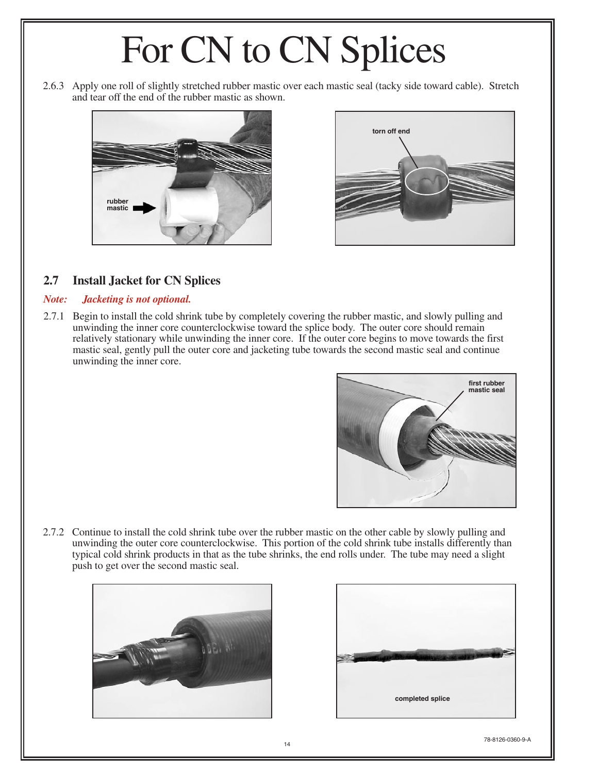2.6.3 Apply one roll of slightly stretched rubber mastic over each mastic seal (tacky side toward cable). Stretch and tear off the end of the rubber mastic as shown.





#### **2.7 Install Jacket for CN Splices**

#### *Note: Jacketing is not optional.*

2.7.1 Begin to install the cold shrink tube by completely covering the rubber mastic, and slowly pulling and unwinding the inner core counterclockwise toward the splice body. The outer core should remain relatively stationary while unwinding the inner core. If the outer core begins to move towards the first mastic seal, gently pull the outer core and jacketing tube towards the second mastic seal and continue unwinding the inner core.



2.7.2 Continue to install the cold shrink tube over the rubber mastic on the other cable by slowly pulling and unwinding the outer core counterclockwise. This portion of the cold shrink tube installs differently than typical cold shrink products in that as the tube shrinks, the end rolls under. The tube may need a slight push to get over the second mastic seal.



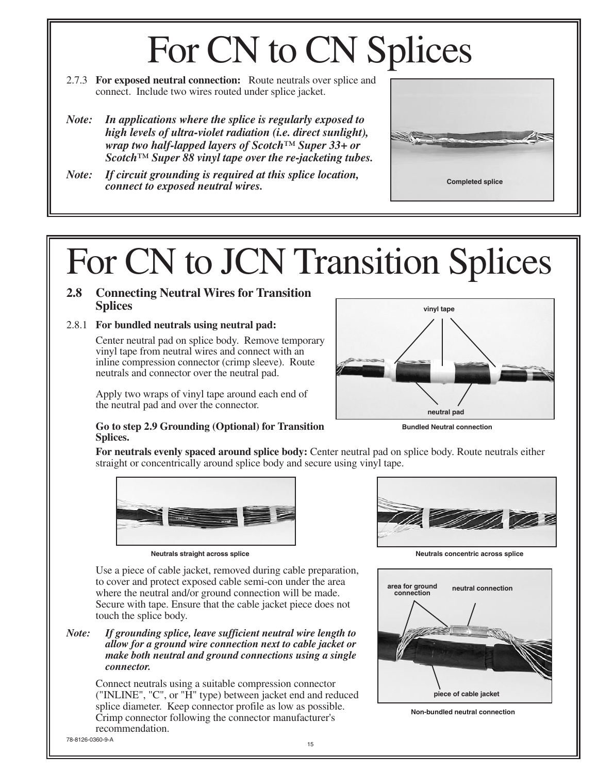- 2.7.3 **For exposed neutral connection:** Route neutrals over splice and connect. Include two wires routed under splice jacket.
- *Note: In applications where the splice is regularly exposed to high levels of ultra-violet radiation (i.e. direct sunlight), wrap two half-lapped layers of Scotch™ Super 33+ or Scotch™ Super 88 vinyl tape over the re-jacketing tubes.*
- *Note: If circuit grounding is required at this splice location, connect to exposed neutral wires.*

### For CN to JCN Transition Splices

#### **2.8 Connecting Neutral Wires for Transition Splices**

#### 2.8.1 **For bundled neutrals using neutral pad:**

Center neutral pad on splice body. Remove temporary vinyl tape from neutral wires and connect with an inline compression connector (crimp sleeve). Route neutrals and connector over the neutral pad.

Apply two wraps of vinyl tape around each end of the neutral pad and over the connector.



**Completed splice**

#### **Go to step 2.9 Grounding (Optional) for Transition Splices.**

**Bundled Neutral connection**

**For neutrals evenly spaced around splice body:** Center neutral pad on splice body. Route neutrals either straight or concentrically around splice body and secure using vinyl tape.



Use a piece of cable jacket, removed during cable preparation, to cover and protect exposed cable semi-con under the area where the neutral and/or ground connection will be made. Secure with tape. Ensure that the cable jacket piece does not touch the splice body.

*Note: If grounding splice, leave sufficient neutral wire length to allow for a ground wire connection next to cable jacket or make both neutral and ground connections using a single connector.*

> Connect neutrals using a suitable compression connector ("INLINE", "C", or "H" type) between jacket end and reduced splice diameter. Keep connector profile as low as possible. Crimp connector following the connector manufacturer's recommendation.



**Neutrals straight across splice Neutrals concentric across splice**



**Non-bundled neutral connection**

<sup>15</sup> 78-8126-0360-9-A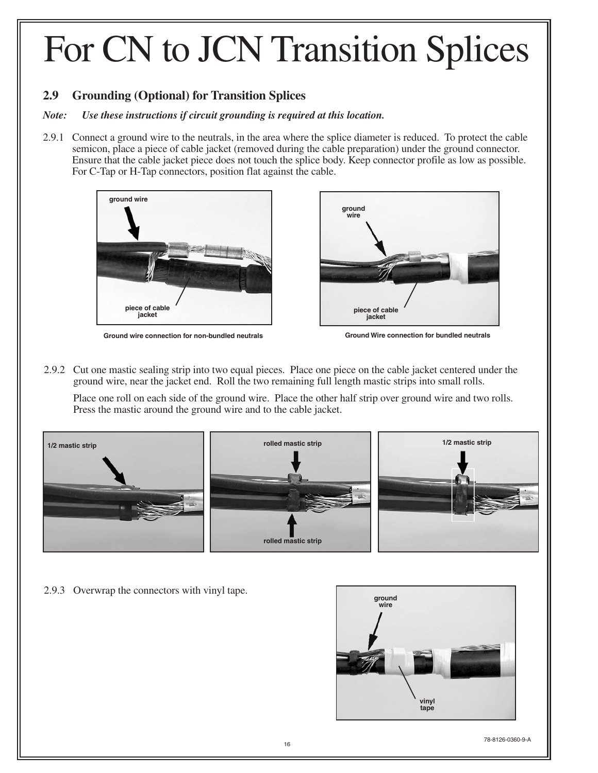### For CN to JCN Transition Splices

#### **2.9 Grounding (Optional) for Transition Splices**

#### *Note: Use these instructions if circuit grounding is required at this location.*

2.9.1 Connect a ground wire to the neutrals, in the area where the splice diameter is reduced. To protect the cable semicon, place a piece of cable jacket (removed during the cable preparation) under the ground connector. Ensure that the cable jacket piece does not touch the splice body. Keep connector profile as low as possible. For C-Tap or H-Tap connectors, position flat against the cable.



**Ground wire connection for non-bundled neutrals**



**Ground Wire connection for bundled neutrals**

2.9.2 Cut one mastic sealing strip into two equal pieces. Place one piece on the cable jacket centered under the ground wire, near the jacket end. Roll the two remaining full length mastic strips into small rolls.

Place one roll on each side of the ground wire. Place the other half strip over ground wire and two rolls. Press the mastic around the ground wire and to the cable jacket.



2.9.3 Overwrap the connectors with vinyl tape.

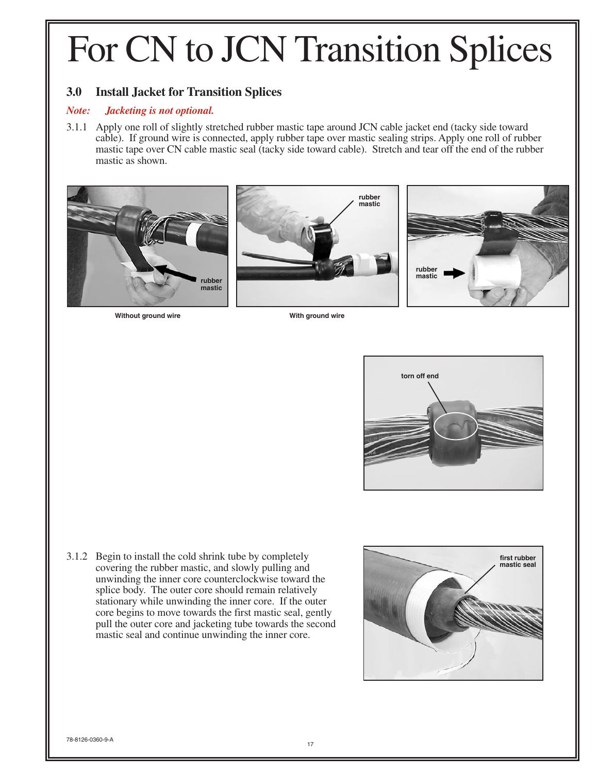### For CN to JCN Transition Splices

#### **3.0 Install Jacket for Transition Splices**

#### *Note: Jacketing is not optional.*

3.1.1 Apply one roll of slightly stretched rubber mastic tape around JCN cable jacket end (tacky side toward cable). If ground wire is connected, apply rubber tape over mastic sealing strips. Apply one roll of rubber mastic tape over CN cable mastic seal (tacky side toward cable). Stretch and tear off the end of the rubber mastic as shown.







**Without ground wire With ground wire**



3.1.2 Begin to install the cold shrink tube by completely covering the rubber mastic, and slowly pulling and unwinding the inner core counterclockwise toward the splice body. The outer core should remain relatively stationary while unwinding the inner core. If the outer core begins to move towards the first mastic seal, gently pull the outer core and jacketing tube towards the second mastic seal and continue unwinding the inner core.

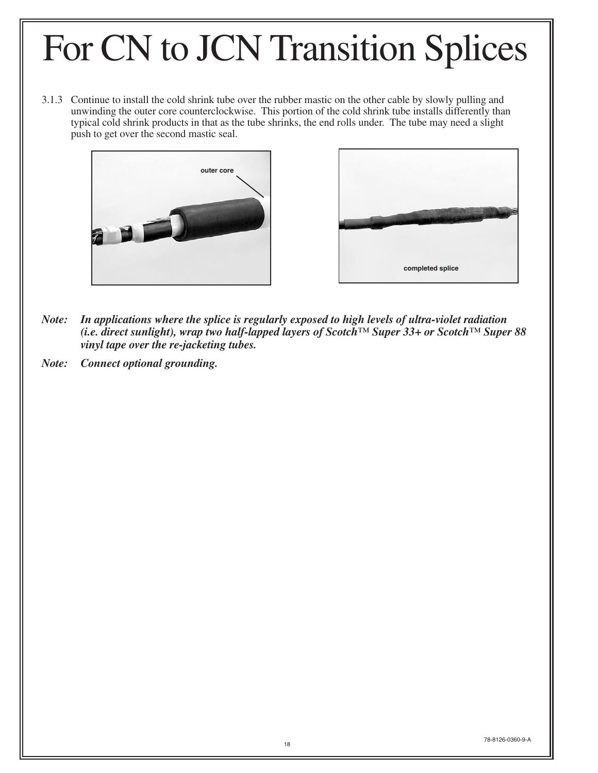### For CN to JCN Transition Splices

3.1.3 Continue to install the cold shrink tube over the rubber mastic on the other cable by slowly pulling and unwinding the outer core counterclockwise. This portion of the cold shrink tube installs differently than typical cold shrink products in that as the tube shrinks, the end rolls under. The tube may need a slight push to get over the second mastic seal.





- *Note: In applications where the splice is regularly exposed to high levels of ultra-violet radiation (i.e. direct sunlight), wrap two half-lapped layers of Scotch™ Super 33+ or Scotch™ Super 88 vinyl tape over the re-jacketing tubes.*
- *Note: Connect optional grounding.*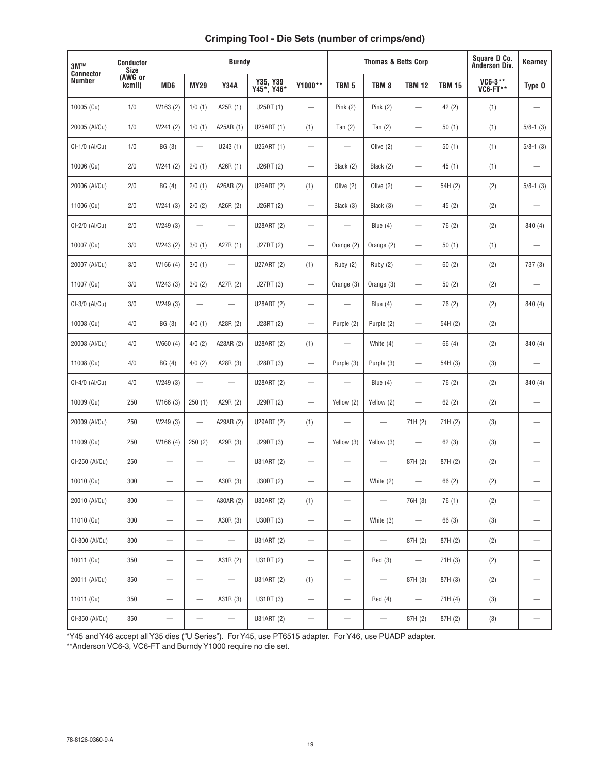#### **Crimping Tool - Die Sets (number of crimps/end)**

| 3M™                               | <b>Conductor</b><br><b>Size</b> | <b>Burndy</b>            |                                |                          |                        | <b>Thomas &amp; Betts Corp</b>  |                                |                          |                                | Square D Co.<br>Anderson Div. | <b>Kearney</b>             |                          |
|-----------------------------------|---------------------------------|--------------------------|--------------------------------|--------------------------|------------------------|---------------------------------|--------------------------------|--------------------------|--------------------------------|-------------------------------|----------------------------|--------------------------|
| <b>Connector</b><br><b>Number</b> | (AWG or<br>kcmil)               | MD <sub>6</sub>          | <b>MY29</b>                    | <b>Y34A</b>              | Y35, Y39<br>Y45*, Y46* | Y1000**                         | TBM <sub>5</sub>               | TBM <sub>8</sub>         | <b>TBM 12</b>                  | <b>TBM 15</b>                 | VC6-3**<br><b>VC6-FT**</b> | Type 0                   |
| 10005 (Cu)                        | 1/0                             | W163 (2)                 | 1/0(1)                         | A25R (1)                 | U25RT (1)              |                                 | Pink $(2)$                     | Pink $(2)$               | $\qquad \qquad -$              | 42(2)                         | (1)                        |                          |
| 20005 (Al/Cu)                     | 1/0                             | W241(2)                  | 1/0(1)                         | A25AR (1)                | U25ART (1)             | (1)                             | Tan $(2)$                      | Tan $(2)$                |                                | 50(1)                         | (1)                        | $5/8-1$ (3)              |
| CI-1/0 (Al/Cu)                    | 1/0                             | BG (3)                   | $\overline{\phantom{0}}$       | U243(1)                  | U25ART (1)             | $\overline{\phantom{0}}$        |                                | Olive $(2)$              | $\overline{\phantom{0}}$       | 50(1)                         | (1)                        | $5/8 - 1$ (3)            |
| 10006 (Cu)                        | 2/0                             | W241(2)                  | 2/0(1)                         | A26R (1)                 | U26RT (2)              |                                 | Black (2)                      | Black (2)                |                                | 45(1)                         | (1)                        |                          |
| 20006 (Al/Cu)                     | 2/0                             | BG (4)                   | 2/0(1)                         | A26AR (2)                | U26ART (2)             | (1)                             | Olive $(2)$                    | Olive $(2)$              | $\qquad \qquad -$              | 54H (2)                       | (2)                        | $5/8 - 1(3)$             |
| 11006 (Cu)                        | 2/0                             | W241 (3)                 | 2/0(2)                         | A26R (2)                 | U26RT (2)              | $\overline{\phantom{m}}$        | Black (3)                      | Black (3)                |                                | 45(2)                         | (2)                        |                          |
| CI-2/0 (Al/Cu)                    | 2/0                             | W249 (3)                 | $\overline{\phantom{0}}$       | $\overline{\phantom{0}}$ | U28ART (2)             | $\qquad \qquad -$               |                                | Blue $(4)$               | $\qquad \qquad \longleftarrow$ | 76 (2)                        | (2)                        | 840 (4)                  |
| 10007 (Cu)                        | 3/0                             | W243 (2)                 | 3/0(1)                         | A27R (1)                 | U27RT (2)              | $\hspace{0.1mm}-\hspace{0.1mm}$ | Orange (2)                     | Orange (2)               | $\qquad \qquad -$              | 50(1)                         | (1)                        |                          |
| 20007 (Al/Cu)                     | 3/0                             | W166 (4)                 | 3/0(1)                         | $\overline{\phantom{0}}$ | U27ART (2)             | (1)                             | Ruby (2)                       | Ruby (2)                 |                                | 60(2)                         | (2)                        | 737 (3)                  |
| 11007 (Cu)                        | 3/0                             | W243 (3)                 | 3/0(2)                         | A27R (2)                 | U27RT (3)              |                                 | Orange (3)                     | Orange (3)               |                                | 50(2)                         | (2)                        |                          |
| CI-3/0 (Al/Cu)                    | 3/0                             | W249 (3)                 | $\overline{\phantom{0}}$       | $\overline{\phantom{0}}$ | U28ART (2)             | $\qquad \qquad -$               |                                | Blue (4)                 | $\qquad \qquad \longleftarrow$ | 76 (2)                        | (2)                        | 840 (4)                  |
| 10008 (Cu)                        | 4/0                             | BG (3)                   | 4/0(1)                         | A28R (2)                 | U28RT (2)              |                                 | Purple (2)                     | Purple (2)               | $\qquad \qquad \longleftarrow$ | 54H (2)                       | (2)                        |                          |
| 20008 (Al/Cu)                     | 4/0                             | W660 (4)                 | 4/0(2)                         | A28AR (2)                | U28ART (2)             | (1)                             | $\overline{\phantom{0}}$       | White (4)                |                                | 66 (4)                        | (2)                        | 840 (4)                  |
| 11008 (Cu)                        | 4/0                             | BG(4)                    | 4/0(2)                         | A28R (3)                 | U28RT (3)              | $\qquad \qquad -$               | Purple (3)                     | Purple (3)               | $\qquad \qquad \longleftarrow$ | 54H (3)                       | (3)                        |                          |
| CI-4/0 (Al/Cu)                    | 4/0                             | W249 (3)                 |                                |                          | U28ART (2)             |                                 |                                | Blue (4)                 | $\qquad \qquad \longleftarrow$ | 76 (2)                        | (2)                        | 840 (4)                  |
| 10009 (Cu)                        | 250                             | W166 (3)                 | 250(1)                         | A29R (2)                 | U29RT (2)              | $\overline{\phantom{0}}$        | Yellow (2)                     | Yellow (2)               | $\overline{\phantom{0}}$       | 62(2)                         | (2)                        | $\overline{\phantom{0}}$ |
| 20009 (Al/Cu)                     | 250                             | W249 (3)                 |                                | A29AR (2)                | U29ART (2)             | (1)                             | $\overline{\phantom{0}}$       |                          | 71H (2)                        | 71H (2)                       | (3)                        |                          |
| 11009 (Cu)                        | 250                             | W166 (4)                 | 250(2)                         | A29R (3)                 | U29RT (3)              | $\overline{\phantom{m}}$        | Yellow (3)                     | Yellow (3)               | $\qquad \qquad -$              | 62(3)                         | (3)                        | $\qquad \qquad -$        |
| CI-250 (Al/Cu)                    | 250                             |                          |                                | $\overline{\phantom{0}}$ | U31ART (2)             |                                 |                                | $\overline{\phantom{0}}$ | 87H (2)                        | 87H (2)                       | (2)                        | $\overline{\phantom{0}}$ |
| 10010 (Cu)                        | 300                             |                          | —<br>—                         | A30R (3)                 | U30RT (2)              |                                 |                                | White (2)                | $\overline{\phantom{0}}$       | 66(2)                         | (2)                        |                          |
| 20010 (Al/Cu)                     | 300                             |                          | —                              | A30AR (2)                | U30ART (2)             | (1)                             | $\qquad \qquad -$              | $\qquad \qquad -$        | 76H (3)                        | 76 (1)                        | (2)                        | $\qquad \qquad -$        |
| 11010 (Cu)                        | 300                             |                          | $\qquad \qquad -$              | A30R (3)                 | U30RT (3)              | $\overline{\phantom{m}}$        | $\overline{\phantom{0}}$       | White $(3)$              | $\qquad \qquad -$              | 66 (3)                        | (3)                        | $\qquad \qquad -$        |
| CI-300 (Al/Cu)                    | 300                             |                          | $\overline{\phantom{0}}$       |                          | U31ART (2)             | $\qquad \qquad \longleftarrow$  | $\qquad \qquad -$              | $\overline{\phantom{m}}$ | 87H (2)                        | 87H (2)                       | (2)                        | $\qquad \qquad -$        |
| 10011 (Cu)                        | 350                             |                          |                                | A31R (2)                 | U31RT (2)              | $\qquad \qquad \longleftarrow$  | $\qquad \qquad -$              | Red(3)                   | $\qquad \qquad \longleftarrow$ | 71H(3)                        | (2)                        |                          |
| 20011 (Al/Cu)                     | 350                             |                          | $\qquad \qquad \longleftarrow$ | $\overline{\phantom{0}}$ | U31ART (2)             | (1)                             | $\qquad \qquad \longleftarrow$ | $\overline{\phantom{0}}$ | 87H (3)                        | 87H (3)                       | (2)                        | $\qquad \qquad -$        |
| 11011 $(Cu)$                      | 350                             |                          | $\qquad \qquad -$              | A31R (3)                 | U31RT (3)              | $\overline{\phantom{0}}$        | $\qquad \qquad \longleftarrow$ | Red(4)                   | $\qquad \qquad \longleftarrow$ | 71H(4)                        | (3)                        |                          |
| CI-350 (Al/Cu)                    | 350                             | $\overline{\phantom{0}}$ | —                              | $\overline{\phantom{0}}$ | U31ART (2)             | $\overline{\phantom{0}}$        | $\overline{\phantom{0}}$       | $\overline{\phantom{0}}$ | 87H (2)                        | 87H (2)                       | (3)                        | $\qquad \qquad -$        |

\*Y45 and Y46 accept all Y35 dies ("U Series"). For Y45, use PT6515 adapter. For Y46, use PUADP adapter.

\*\*Anderson VC6-3, VC6-FT and Burndy Y1000 require no die set.